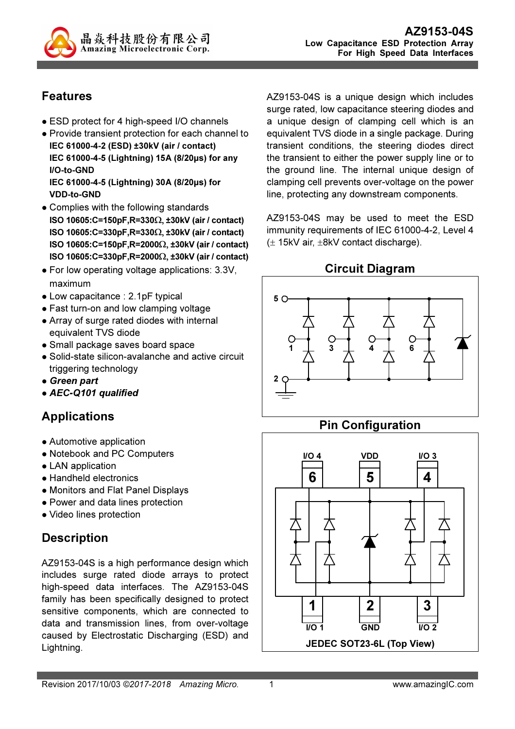

## Features

- ESD protect for 4 high-speed I/O channels
- Provide transient protection for each channel to IEC 61000-4-2 (ESD) ±30kV (air / contact) IEC 61000-4-5 (Lightning) 15A (8/20µs) for any I/O-to-GND IEC 61000-4-5 (Lightning) 30A (8/20µs) for VDD-to-GND
- Complies with the following standards ISO 10605:C=150pF,R=330Ω, ±30kV (air / contact) ISO 10605:C=330pF,R=330Ω, ±30kV (air / contact) ISO 10605:C=150pF,R=2000Ω, ±30kV (air / contact) ISO 10605:C=330pF,R=2000Ω, ±30kV (air / contact)
- For low operating voltage applications: 3.3V, maximum
- Low capacitance : 2.1pF typical
- Fast turn-on and low clamping voltage
- Array of surge rated diodes with internal equivalent TVS diode
- Small package saves board space
- Solid-state silicon-avalanche and active circuit triggering technology
- Green part
- AEC-Q101 qualified

## Applications

- Automotive application
- Notebook and PC Computers
- LAN application
- Handheld electronics
- Monitors and Flat Panel Displays
- Power and data lines protection
- Video lines protection

## **Description**

AZ9153-04S is a high performance design which includes surge rated diode arrays to protect high-speed data interfaces. The AZ9153-04S family has been specifically designed to protect sensitive components, which are connected to data and transmission lines, from over-voltage caused by Electrostatic Discharging (ESD) and Lightning.

AZ9153-04S is a unique design which includes surge rated, low capacitance steering diodes and a unique design of clamping cell which is an equivalent TVS diode in a single package. During transient conditions, the steering diodes direct the transient to either the power supply line or to the ground line. The internal unique design of clamping cell prevents over-voltage on the power line, protecting any downstream components.

AZ9153-04S may be used to meet the ESD immunity requirements of IEC 61000-4-2, Level 4  $(\pm 15kV \text{ air}, \pm 8kV \text{ contact discharge}).$ 

## Circuit Diagram



## Pin Configuration

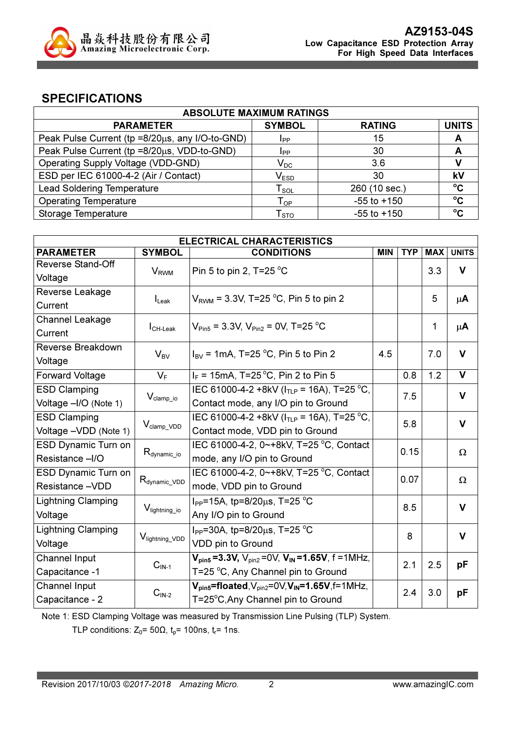

### SPECIFICATIONS

| <b>ABSOLUTE MAXIMUM RATINGS</b>                 |                          |                 |              |  |
|-------------------------------------------------|--------------------------|-----------------|--------------|--|
| <b>PARAMETER</b>                                | <b>SYMBOL</b>            | <b>RATING</b>   | <b>UNITS</b> |  |
| Peak Pulse Current (tp =8/20µs, any I/O-to-GND) | <b>I</b> pp              | 15              | A            |  |
| Peak Pulse Current (tp =8/20µs, VDD-to-GND)     | Ipp                      | 30              | A            |  |
| Operating Supply Voltage (VDD-GND)              | $\mathsf{V}_\mathsf{DC}$ | 3.6             |              |  |
| ESD per IEC 61000-4-2 (Air / Contact)           | $V_{ESD}$                | 30              | kV           |  |
| <b>Lead Soldering Temperature</b>               | $T_{SOL}$                | 260 (10 sec.)   | $\rm ^{o}C$  |  |
| <b>Operating Temperature</b>                    | $T_{OP}$                 | $-55$ to $+150$ | $\rm ^{o}C$  |  |
| Storage Temperature                             | ${\sf T}_{\sf STO}$      | $-55$ to $+150$ | $\rm ^{o}C$  |  |

| <b>ELECTRICAL CHARACTERISTICS</b> |                           |                                                                    |            |            |            |              |
|-----------------------------------|---------------------------|--------------------------------------------------------------------|------------|------------|------------|--------------|
| <b>PARAMETER</b>                  | <b>SYMBOL</b>             | <b>CONDITIONS</b>                                                  | <b>MIN</b> | <b>TYP</b> | <b>MAX</b> | <b>UNITS</b> |
| <b>Reverse Stand-Off</b>          | $V_{RWM}$                 | Pin 5 to pin 2, T=25 $^{\circ}$ C                                  |            |            | 3.3        | V            |
| Voltage                           |                           |                                                                    |            |            |            |              |
| Reverse Leakage                   |                           | $V_{\text{RWM}}$ = 3.3V, T=25 °C, Pin 5 to pin 2                   |            |            | 5          | $\mu$ A      |
| Current                           | $I_{\text{Leak}}$         |                                                                    |            |            |            |              |
| <b>Channel Leakage</b>            |                           |                                                                    |            |            | 1          |              |
| Current                           | $ICH-Leak$                | $V_{\text{Pin5}}$ = 3.3V, $V_{\text{Pin2}}$ = 0V, T=25 °C          |            |            |            | $\mu$ A      |
| Reverse Breakdown                 | $V_{BV}$                  | $I_{BV}$ = 1mA, T=25 °C, Pin 5 to Pin 2                            |            |            | 7.0        | $\mathbf v$  |
| Voltage                           |                           |                                                                    | 4.5        |            |            |              |
| <b>Forward Voltage</b>            | $V_F$                     | $I_F$ = 15mA, T=25 °C, Pin 2 to Pin 5                              |            | 0.8        | 1.2        | $\mathsf{V}$ |
| <b>ESD Clamping</b>               |                           | IEC 61000-4-2 +8kV ( $ITIP$ = 16A), T=25 °C,                       |            | 7.5        |            | $\mathbf v$  |
| Voltage -I/O (Note 1)             | $V_{\text{clamp\_io}}$    | Contact mode, any I/O pin to Ground                                |            |            |            |              |
| <b>ESD Clamping</b>               |                           | IEC 61000-4-2 +8kV ( $I_{TLP}$ = 16A), T=25 °C,                    |            | 5.8        |            | $\mathbf v$  |
| Voltage - VDD (Note 1)            | $V_{\text{clamp\_VDD}}$   | Contact mode, VDD pin to Ground                                    |            |            |            |              |
| ESD Dynamic Turn on               |                           | IEC 61000-4-2, 0~+8kV, T=25 °C, Contact                            |            | 0.15       |            |              |
| Resistance -I/O                   | $R_{\text{dynamic\_io}}$  | mode, any I/O pin to Ground                                        |            |            |            | Ω            |
| ESD Dynamic Turn on               |                           | IEC 61000-4-2, 0~+8kV, T=25 °C, Contact                            |            | 0.07       |            |              |
| Resistance -VDD                   | $R_{\text{dynamic\_VDD}}$ | mode, VDD pin to Ground                                            |            |            |            | Ω            |
| <b>Lightning Clamping</b>         |                           | I <sub>PP</sub> =15A, tp=8/20 $\mu$ s, T=25 °C                     |            | 8.5        |            | $\mathbf v$  |
| Voltage                           | V <sub>lightning io</sub> | Any I/O pin to Ground                                              |            |            |            |              |
| <b>Lightning Clamping</b>         |                           | $I_{PP}$ =30A, tp=8/20 $\mu$ s, T=25 °C                            |            | 8          |            | $\mathbf v$  |
| Voltage                           | Viightning_VDD            | VDD pin to Ground                                                  |            |            |            |              |
| <b>Channel Input</b>              |                           | $V_{pin5} = 3.3V$ , $V_{pin2} = 0V$ , $V_{IN} = 1.65V$ , f = 1MHz, |            |            |            |              |
| Capacitance -1                    | $CIN-1$                   | T=25 °C, Any Channel pin to Ground                                 |            | 2.1        | 2.5        | pF           |
| <b>Channel Input</b>              |                           | $V_{pin5}$ =floated, $V_{pin2}$ =0V, $V_{IN}$ =1.65V, f=1MHz,      |            | 2.4        | 3.0        |              |
| Capacitance - 2                   | $CIN-2$                   | T=25°C, Any Channel pin to Ground                                  |            |            |            | pF           |

Note 1: ESD Clamping Voltage was measured by Transmission Line Pulsing (TLP) System.

TLP conditions:  $Z_0$ = 50 $\Omega$ ,  $t_p$ = 100ns,  $t_r$ = 1ns.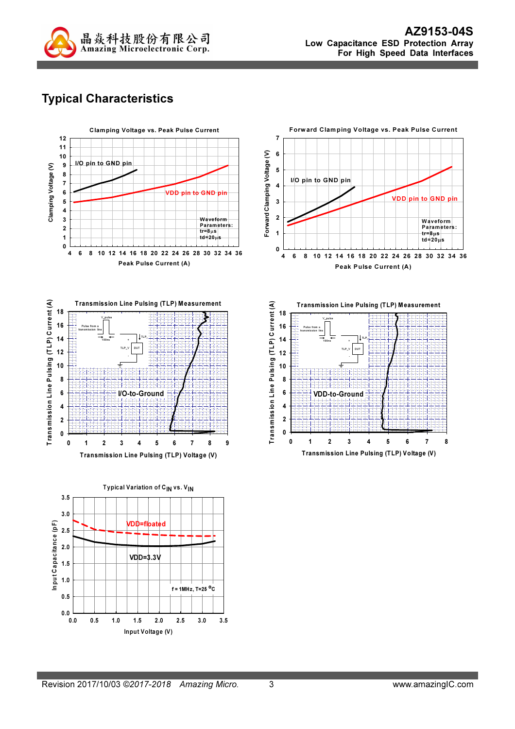

# Typical Characteristics









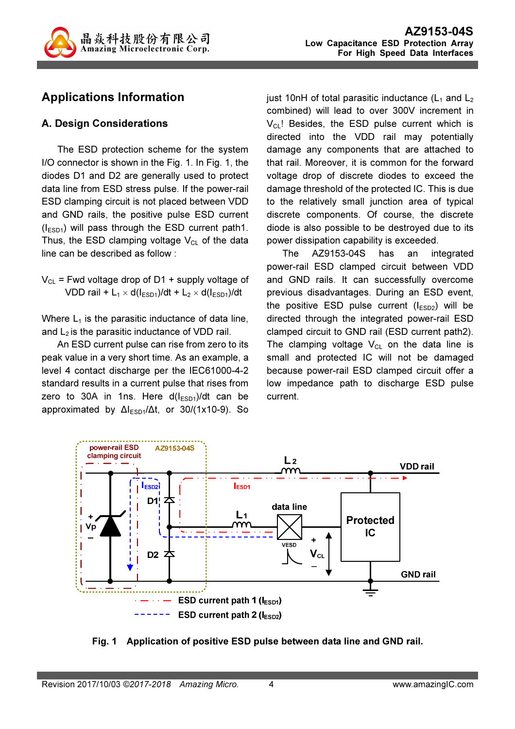

## Applications Information

### A. Design Considerations

The ESD protection scheme for the system I/O connector is shown in the Fig. 1. In Fig. 1, the diodes D1 and D2 are generally used to protect data line from ESD stress pulse. If the power-rail ESD clamping circuit is not placed between VDD and GND rails, the positive pulse ESD current  $(I<sub>ESD1</sub>)$  will pass through the ESD current path1. Thus, the ESD clamping voltage  $V_{CL}$  of the data line can be described as follow :

 $V_{CL}$  = Fwd voltage drop of D1 + supply voltage of VDD rail + L<sub>1</sub>  $\times$  d( $I_{ESD1}$ )/dt + L<sub>2</sub>  $\times$  d( $I_{ESD1}$ )/dt

Where  $L_1$  is the parasitic inductance of data line, and  $L_2$  is the parasitic inductance of VDD rail.

An ESD current pulse can rise from zero to its peak value in a very short time. As an example, a level 4 contact discharge per the IEC61000-4-2 standard results in a current pulse that rises from zero to 30A in 1ns. Here  $d(I<sub>ESD1</sub>)/dt$  can be approximated by  $\Delta l_{ESD1}/\Delta t$ , or 30/(1x10-9). So just 10nH of total parasitic inductance  $(L_1$  and  $L_2$ combined) will lead to over 300V increment in  $V_{\text{CL}}$ ! Besides, the ESD pulse current which is directed into the VDD rail may potentially damage any components that are attached to that rail. Moreover, it is common for the forward voltage drop of discrete diodes to exceed the damage threshold of the protected IC. This is due to the relatively small junction area of typical discrete components. Of course, the discrete diode is also possible to be destroyed due to its power dissipation capability is exceeded.

The AZ9153-04S has an integrated power-rail ESD clamped circuit between VDD and GND rails. It can successfully overcome previous disadvantages. During an ESD event, the positive ESD pulse current  $(I_{ESD2})$  will be directed through the integrated power-rail ESD clamped circuit to GND rail (ESD current path2). The clamping voltage  $V_{CL}$  on the data line is small and protected IC will not be damaged because power-rail ESD clamped circuit offer a low impedance path to discharge ESD pulse current.



Fig. 1 Application of positive ESD pulse between data line and GND rail.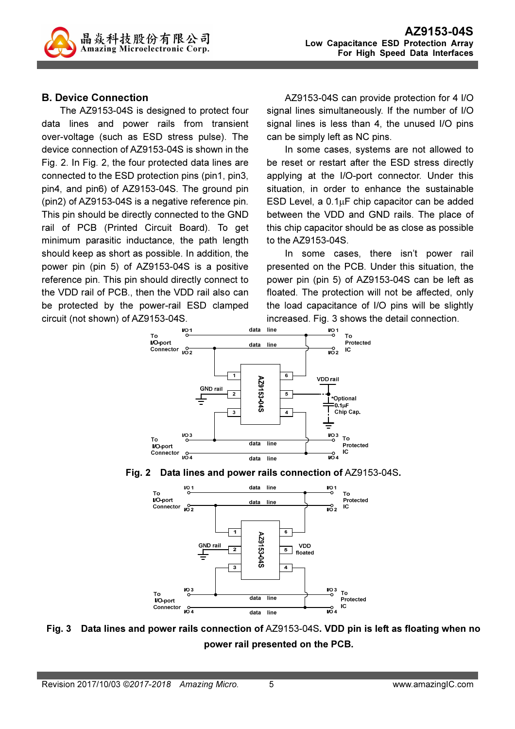

#### B. Device Connection

The AZ9153-04S is designed to protect four data lines and power rails from transient over-voltage (such as ESD stress pulse). The device connection of AZ9153-04S is shown in the Fig. 2. In Fig. 2, the four protected data lines are connected to the ESD protection pins (pin1, pin3, pin4, and pin6) of AZ9153-04S. The ground pin (pin2) of AZ9153-04S is a negative reference pin. This pin should be directly connected to the GND rail of PCB (Printed Circuit Board). To get minimum parasitic inductance, the path length should keep as short as possible. In addition, the power pin (pin 5) of AZ9153-04S is a positive reference pin. This pin should directly connect to the VDD rail of PCB., then the VDD rail also can be protected by the power-rail ESD clamped circuit (not shown) of AZ9153-04S.

AZ9153-04S can provide protection for 4 I/O signal lines simultaneously. If the number of I/O signal lines is less than 4, the unused I/O pins can be simply left as NC pins.

In some cases, systems are not allowed to be reset or restart after the ESD stress directly applying at the I/O-port connector. Under this situation, in order to enhance the sustainable ESD Level, a  $0.1\mu$ F chip capacitor can be added between the VDD and GND rails. The place of this chip capacitor should be as close as possible to the AZ9153-04S.

In some cases, there isn't power rail presented on the PCB. Under this situation, the power pin (pin 5) of AZ9153-04S can be left as floated. The protection will not be affected, only the load capacitance of I/O pins will be slightly increased. Fig. 3 shows the detail connection.







Fig. 3 Data lines and power rails connection of AZ9153-04S. VDD pin is left as floating when no power rail presented on the PCB.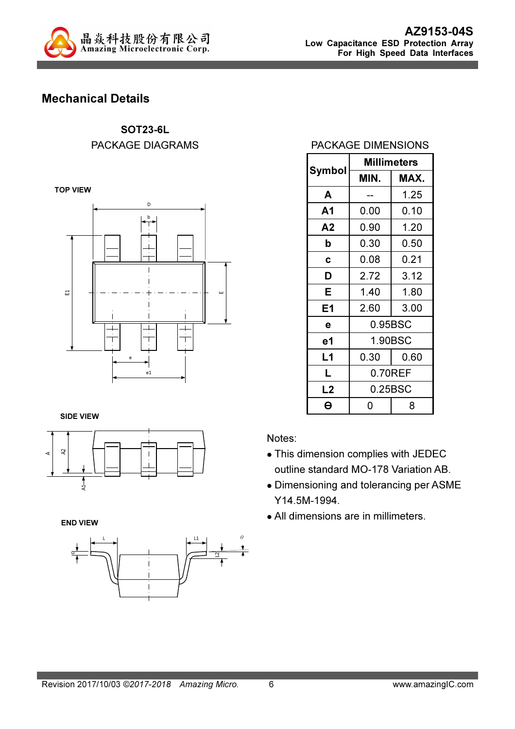

## Mechanical Details

SOT23-6L PACKAGE DIAGRAMS

TOP VIEW



#### SIDE VIEW



END VIEW



#### PACKAGE DIMENSIONS

| Symbol | <b>Millimeters</b> |      |  |  |
|--------|--------------------|------|--|--|
|        | MIN.               | MAX. |  |  |
| A      |                    | 1.25 |  |  |
| A1     | 0.00               | 0.10 |  |  |
| Α2     | 0.90               | 1.20 |  |  |
| b      | 0.30               | 0.50 |  |  |
| C      | 0.08               | 0.21 |  |  |
| D      | 2.72               | 3.12 |  |  |
| Е      | 1.40               | 1.80 |  |  |
| Ε1     | 2.60               | 3.00 |  |  |
| е      | 0.95BSC            |      |  |  |
| е1     | 1.90BSC            |      |  |  |
| L1     | 0.30               | 0.60 |  |  |
| L      | 0.70REF            |      |  |  |
| L2     | 0.25BSC            |      |  |  |
| A      | 8<br>ი             |      |  |  |

Notes:

- This dimension complies with JEDEC outline standard MO-178 Variation AB.
- Dimensioning and tolerancing per ASME Y14.5M-1994.
- All dimensions are in millimeters.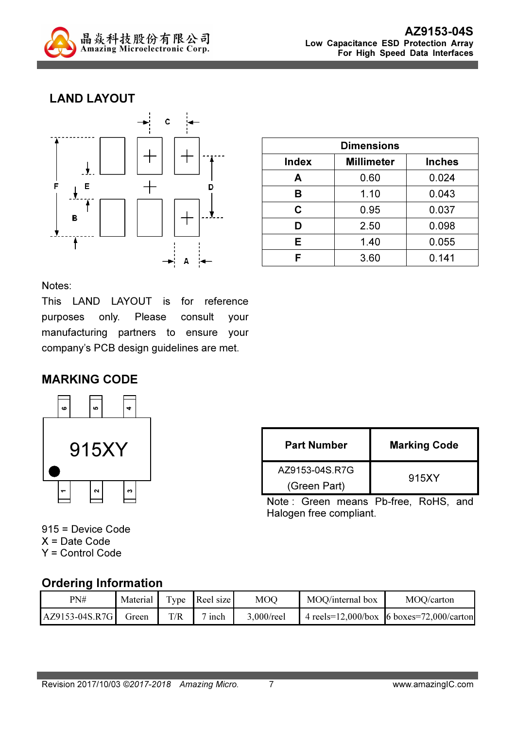

### LAND LAYOUT



| <b>Dimensions</b> |                   |               |  |
|-------------------|-------------------|---------------|--|
| <b>Index</b>      | <b>Millimeter</b> | <b>Inches</b> |  |
| Α                 | 0.60              | 0.024         |  |
| в                 | 1.10              | 0.043         |  |
| C                 | 0.95              | 0.037         |  |
| D                 | 2.50              | 0.098         |  |
| Е                 | 1.40              | 0.055         |  |
| F                 | 3.60              | 0.141         |  |

Notes:

This LAND LAYOUT is for reference purposes only. Please consult your manufacturing partners to ensure your company's PCB design guidelines are met.

### MARKING CODE



| <b>Part Number</b> | <b>Marking Code</b> |
|--------------------|---------------------|
| AZ9153-04S R7G     | 915XY               |
| (Green Part)       |                     |

Note : Green means Pb-free, RoHS, and Halogen free compliant.

915 = Device Code X = Date Code Y = Control Code

### Ordering Information

| PN#            | Material | T <sub>Y</sub> pe | Reel size | <b>MOQ</b> | MOQ/internal box | MOQ/carton                                       |
|----------------|----------|-------------------|-----------|------------|------------------|--------------------------------------------------|
| AZ9153-04S.R7G | Green    | T/R               | inch      | 3,000/reel |                  | 4 reels= $12,000/b$ ox 6 boxes= $72,000/c$ arton |